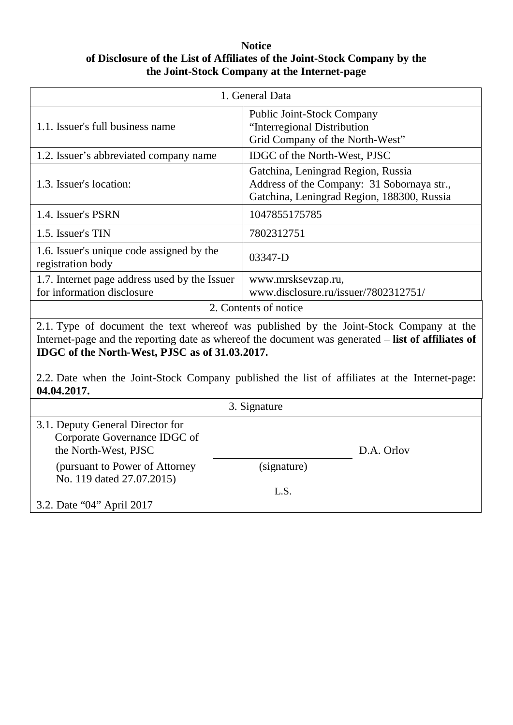## **Notice of Disclosure of the List of Affiliates of the Joint-Stock Company by the the Joint-Stock Company at the Internet-page**

| 1. General Data                                                                                                                                                                                                                                                                                                                                                |                                                                                                                                |
|----------------------------------------------------------------------------------------------------------------------------------------------------------------------------------------------------------------------------------------------------------------------------------------------------------------------------------------------------------------|--------------------------------------------------------------------------------------------------------------------------------|
| 1.1. Issuer's full business name                                                                                                                                                                                                                                                                                                                               | Public Joint-Stock Company<br>"Interregional Distribution<br>Grid Company of the North-West"                                   |
| 1.2. Issuer's abbreviated company name                                                                                                                                                                                                                                                                                                                         | IDGC of the North-West, PJSC                                                                                                   |
| 1.3. Issuer's location:                                                                                                                                                                                                                                                                                                                                        | Gatchina, Leningrad Region, Russia<br>Address of the Company: 31 Sobornaya str.,<br>Gatchina, Leningrad Region, 188300, Russia |
| 1.4. Issuer's PSRN                                                                                                                                                                                                                                                                                                                                             | 1047855175785                                                                                                                  |
| 1.5. Issuer's TIN                                                                                                                                                                                                                                                                                                                                              | 7802312751                                                                                                                     |
| 1.6. Issuer's unique code assigned by the<br>registration body                                                                                                                                                                                                                                                                                                 | 03347-D                                                                                                                        |
| 1.7. Internet page address used by the Issuer<br>for information disclosure                                                                                                                                                                                                                                                                                    | www.mrsksevzap.ru,<br>www.disclosure.ru/issuer/7802312751/                                                                     |
| 2. Contents of notice                                                                                                                                                                                                                                                                                                                                          |                                                                                                                                |
| 2.1. Type of document the text whereof was published by the Joint-Stock Company at the<br>Internet-page and the reporting date as whereof the document was generated – list of affiliates of<br>IDGC of the North-West, PJSC as of 31.03.2017.<br>2.2. Date when the Joint-Stock Company published the list of affiliates at the Internet-page:<br>04.04.2017. |                                                                                                                                |
| 3. Signature                                                                                                                                                                                                                                                                                                                                                   |                                                                                                                                |
| 3.1. Deputy General Director for<br>Corporate Governance IDGC of<br>the North-West, PJSC<br>(pursuant to Power of Attorney                                                                                                                                                                                                                                     | D.A. Orlov<br>(signature)                                                                                                      |
| No. 119 dated 27.07.2015)                                                                                                                                                                                                                                                                                                                                      |                                                                                                                                |

L.S.

3.2. Date "04" April 2017